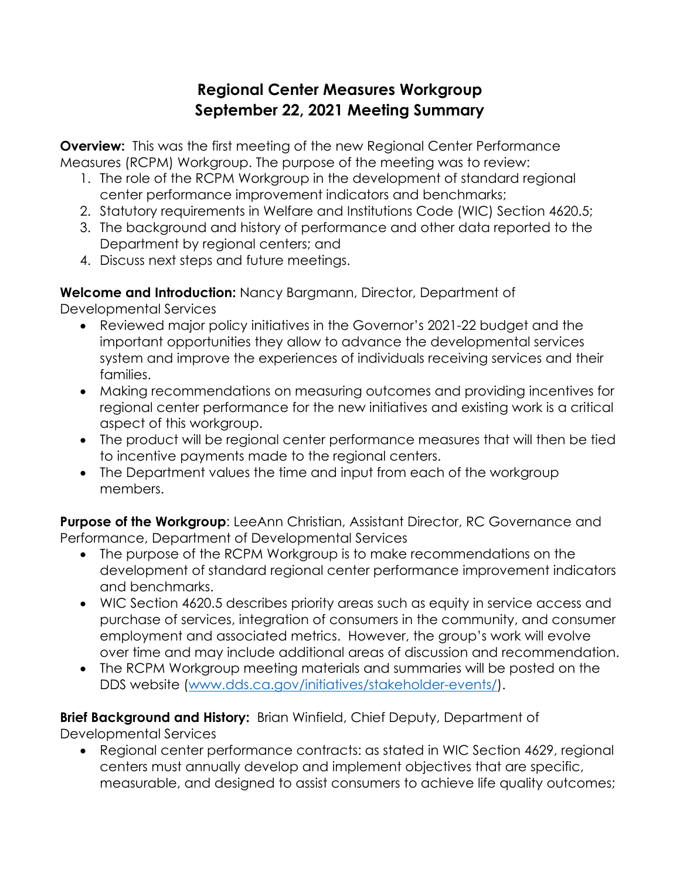# **Regional Center Measures Workgroup September 22, 2021 Meeting Summary**

**Overview:** This was the first meeting of the new Regional Center Performance Measures (RCPM) Workgroup. The purpose of the meeting was to review:

- 1. The role of the RCPM Workgroup in the development of standard regional center performance improvement indicators and benchmarks;
- 2. Statutory requirements in Welfare and Institutions Code (WIC) Section 4620.5;
- 3. The background and history of performance and other data reported to the Department by regional centers; and
- 4. Discuss next steps and future meetings.

**Welcome and Introduction:** Nancy Bargmann, Director, Department of Developmental Services

- Reviewed major policy initiatives in the Governor's 2021-22 budget and the important opportunities they allow to advance the developmental services system and improve the experiences of individuals receiving services and their families.
- Making recommendations on measuring outcomes and providing incentives for regional center performance for the new initiatives and existing work is a critical aspect of this workgroup.
- The product will be regional center performance measures that will then be tied to incentive payments made to the regional centers.
- The Department values the time and input from each of the workgroup members.

**Purpose of the Workgroup:** LeeAnn Christian, Assistant Director, RC Governance and Performance, Department of Developmental Services

- The purpose of the RCPM Workgroup is to make recommendations on the development of standard regional center performance improvement indicators and benchmarks.
- WIC Section 4620.5 describes priority areas such as equity in service access and purchase of services, integration of consumers in the community, and consumer employment and associated metrics. However, the group's work will evolve over time and may include additional areas of discussion and recommendation.
- The RCPM Workgroup meeting materials and summaries will be posted on the DDS website [\(www.dds.ca.gov/initiatives/stakeholder-events/\)](https://www.dds.ca.gov/initiatives/stakeholder-events/).

### **Brief Background and History:** Brian Winfield, Chief Deputy, Department of Developmental Services

• Regional center performance contracts: as stated in WIC Section 4629, regional centers must annually develop and implement objectives that are specific, measurable, and designed to assist consumers to achieve life quality outcomes;